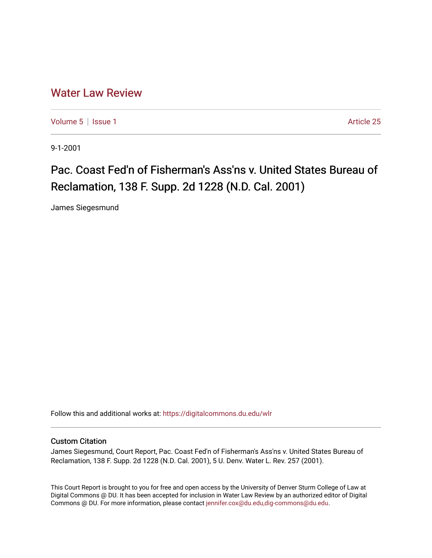## [Water Law Review](https://digitalcommons.du.edu/wlr)

[Volume 5](https://digitalcommons.du.edu/wlr/vol5) | [Issue 1](https://digitalcommons.du.edu/wlr/vol5/iss1) Article 25

9-1-2001

## Pac. Coast Fed'n of Fisherman's Ass'ns v. United States Bureau of Reclamation, 138 F. Supp. 2d 1228 (N.D. Cal. 2001)

James Siegesmund

Follow this and additional works at: [https://digitalcommons.du.edu/wlr](https://digitalcommons.du.edu/wlr?utm_source=digitalcommons.du.edu%2Fwlr%2Fvol5%2Fiss1%2F25&utm_medium=PDF&utm_campaign=PDFCoverPages) 

## Custom Citation

James Siegesmund, Court Report, Pac. Coast Fed'n of Fisherman's Ass'ns v. United States Bureau of Reclamation, 138 F. Supp. 2d 1228 (N.D. Cal. 2001), 5 U. Denv. Water L. Rev. 257 (2001).

This Court Report is brought to you for free and open access by the University of Denver Sturm College of Law at Digital Commons @ DU. It has been accepted for inclusion in Water Law Review by an authorized editor of Digital Commons @ DU. For more information, please contact [jennifer.cox@du.edu,dig-commons@du.edu.](mailto:jennifer.cox@du.edu,dig-commons@du.edu)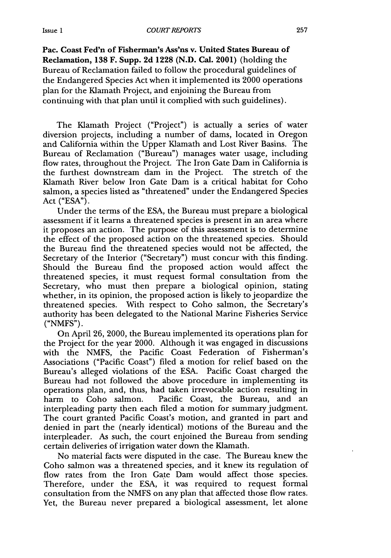Pac. Coast Fed'n of Fisherman's Ass'ns v. United States Bureau of Reclamation, **138** F. Supp. **2d 1228 (N.D.** Cal. 2001) (holding the Bureau of Reclamation failed to follow the procedural guidelines of the Endangered Species Act when it implemented its 2000 operations plan for the Klamath Project, and enjoining the Bureau from continuing with that plan until it complied with such guidelines).

The Klamath Project ("Project") is actually a series of water diversion projects, including a number of dams, located in Oregon and California within the Upper Klamath and Lost River Basins. The Bureau of Reclamation ("Bureau") manages water usage, including flow rates, throughout the Project. The Iron Gate Dam in California is<br>the furthest downstream dam in the Project. The stretch of the the furthest downstream dam in the Project. Klamath River below Iron Gate Dam is a critical habitat for Coho salmon, a species listed as "threatened" under the Endangered Species Act ("ESA").

Under the terms of the ESA, the Bureau must prepare a biological assessment if it learns a threatened species is present in an area where it proposes an action. The purpose of this assessment is to determine the effect of the proposed action on the threatened species. Should the Bureau find the threatened species would not be affected, the Secretary of the Interior ("Secretary") must concur with this finding. Should the Bureau find the proposed action would affect the threatened species, it must request formal consultation from the Secretary, who must then prepare a biological opinion, stating whether, in its opinion, the proposed action is likely to jeopardize the threatened species. With respect to Coho salmon, the Secretary's authority has been delegated to the National Marine Fisheries Service  $("NMFS").$ 

On April 26, 2000, the Bureau implemented its operations plan for the Project for the year 2000. Although it was engaged in discussions with the NMFS, the Pacific Coast Federation of Fisherman's Associations ("Pacific Coast") filed a motion for relief based on the Bureau's alleged violations of the ESA. Pacific Coast charged the Bureau had not followed the above procedure in implementing its operations plan, and, thus, had taken irrevocable action resulting in harm to Coho salmon. Pacific Coast, the Bureau, and an interpleading party then each filed a motion for summary judgment. The court granted Pacific Coast's motion, and granted in part and denied in part the (nearly identical) motions of the Bureau and the interpleader. As such, the court enjoined the Bureau from sending certain deliveries of irrigation water down the Klamath.

No material facts were disputed in the case. The Bureau knew the Coho salmon was a threatened species, and it knew its regulation of flow rates from the Iron Gate Dam would affect those species. Therefore, under the ESA, it was required to request formal consultation from the NMFS on any plan that affected those flow rates. Yet, the Bureau never prepared a biological assessment, let alone